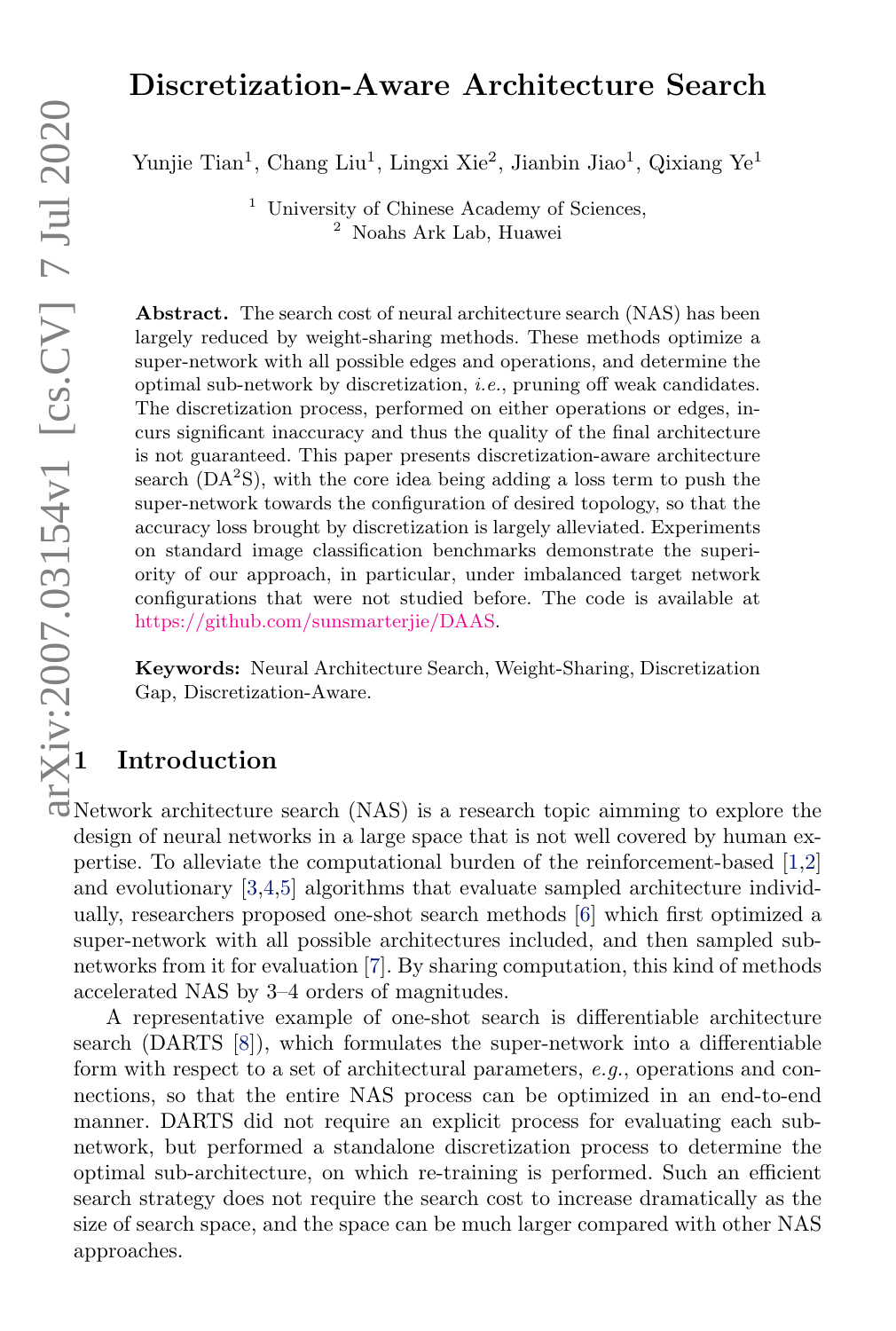# Discretization-Aware Architecture Search

Yunjie Tian<sup>1</sup>, Chang Liu<sup>1</sup>, Lingxi Xie<sup>2</sup>, Jianbin Jiao<sup>1</sup>, Qixiang Ye<sup>1</sup>

<sup>1</sup> University of Chinese Academy of Sciences, <sup>2</sup> Noahs Ark Lab, Huawei

Abstract. The search cost of neural architecture search (NAS) has been largely reduced by weight-sharing methods. These methods optimize a super-network with all possible edges and operations, and determine the optimal sub-network by discretization, i.e., pruning off weak candidates. The discretization process, performed on either operations or edges, incurs significant inaccuracy and thus the quality of the final architecture is not guaranteed. This paper presents discretization-aware architecture search  $(DA<sup>2</sup>S)$ , with the core idea being adding a loss term to push the super-network towards the configuration of desired topology, so that the accuracy loss brought by discretization is largely alleviated. Experiments on standard image classification benchmarks demonstrate the superiority of our approach, in particular, under imbalanced target network configurations that were not studied before. The code is available at [https://github.com/sunsmarterjie/DAAS.](https://github.com/sunsmarterjie/DAAS) 1 Introduction

Keywords: Neural Architecture Search, Weight-Sharing, Discretization Gap, Discretization-Aware.

Network architecture search (NAS) is a research topic aimming to explore the design of neural networks in a large space that is not well covered by human expertise. To alleviate the computational burden of the reinforcement-based [\[1,](#page-14-0)[2\]](#page-14-1) and evolutionary [\[3,](#page-14-2)[4,](#page-14-3)[5\]](#page-14-4) algorithms that evaluate sampled architecture individually, researchers proposed one-shot search methods [\[6\]](#page-14-5) which first optimized a super-network with all possible architectures included, and then sampled subnetworks from it for evaluation [\[7\]](#page-14-6). By sharing computation, this kind of methods accelerated NAS by 3–4 orders of magnitudes.

A representative example of one-shot search is differentiable architecture search (DARTS [\[8\]](#page-14-7)), which formulates the super-network into a differentiable form with respect to a set of architectural parameters, e.g., operations and connections, so that the entire NAS process can be optimized in an end-to-end manner. DARTS did not require an explicit process for evaluating each subnetwork, but performed a standalone discretization process to determine the optimal sub-architecture, on which re-training is performed. Such an efficient search strategy does not require the search cost to increase dramatically as the size of search space, and the space can be much larger compared with other NAS approaches.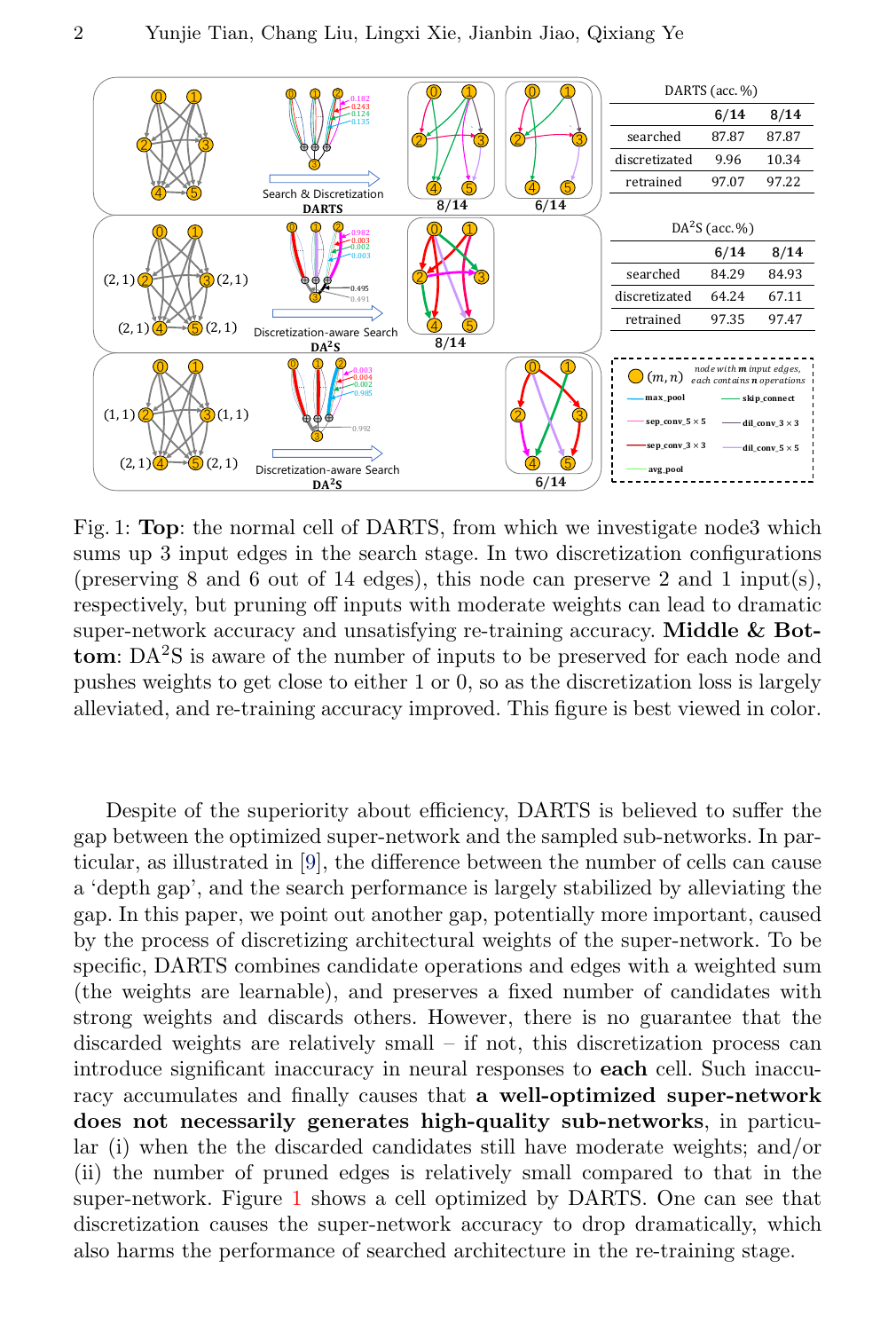<span id="page-1-0"></span>

Fig. 1: Top: the normal cell of DARTS, from which we investigate node3 which sums up 3 input edges in the search stage. In two discretization configurations (preserving 8 and 6 out of 14 edges), this node can preserve 2 and 1 input(s), respectively, but pruning off inputs with moderate weights can lead to dramatic super-network accuracy and unsatisfying re-training accuracy. Middle & Bot**tom**:  $DA^2S$  is aware of the number of inputs to be preserved for each node and pushes weights to get close to either 1 or 0, so as the discretization loss is largely alleviated, and re-training accuracy improved. This figure is best viewed in color.

Despite of the superiority about efficiency, DARTS is believed to suffer the gap between the optimized super-network and the sampled sub-networks. In particular, as illustrated in [\[9\]](#page-14-8), the difference between the number of cells can cause a 'depth gap', and the search performance is largely stabilized by alleviating the gap. In this paper, we point out another gap, potentially more important, caused by the process of discretizing architectural weights of the super-network. To be specific, DARTS combines candidate operations and edges with a weighted sum (the weights are learnable), and preserves a fixed number of candidates with strong weights and discards others. However, there is no guarantee that the discarded weights are relatively small – if not, this discretization process can introduce significant inaccuracy in neural responses to each cell. Such inaccuracy accumulates and finally causes that a well-optimized super-network does not necessarily generates high-quality sub-networks, in particular (i) when the the discarded candidates still have moderate weights; and/or (ii) the number of pruned edges is relatively small compared to that in the super-network. Figure [1](#page-1-0) shows a cell optimized by DARTS. One can see that discretization causes the super-network accuracy to drop dramatically, which also harms the performance of searched architecture in the re-training stage.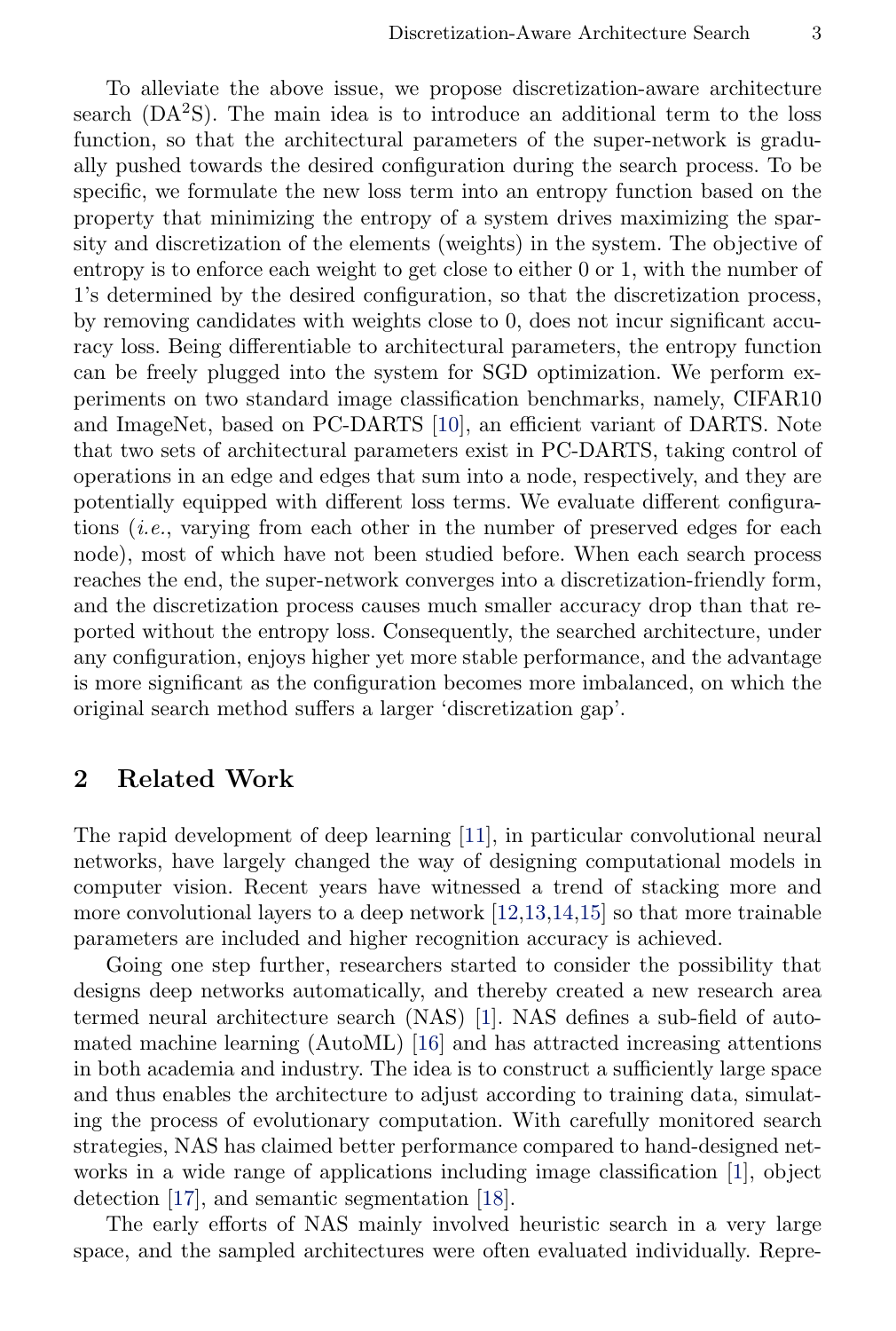To alleviate the above issue, we propose discretization-aware architecture search  $(DA<sup>2</sup>S)$ . The main idea is to introduce an additional term to the loss function, so that the architectural parameters of the super-network is gradually pushed towards the desired configuration during the search process. To be specific, we formulate the new loss term into an entropy function based on the property that minimizing the entropy of a system drives maximizing the sparsity and discretization of the elements (weights) in the system. The objective of entropy is to enforce each weight to get close to either 0 or 1, with the number of 1's determined by the desired configuration, so that the discretization process, by removing candidates with weights close to 0, does not incur significant accuracy loss. Being differentiable to architectural parameters, the entropy function can be freely plugged into the system for SGD optimization. We perform experiments on two standard image classification benchmarks, namely, CIFAR10 and ImageNet, based on PC-DARTS [\[10\]](#page-14-9), an efficient variant of DARTS. Note that two sets of architectural parameters exist in PC-DARTS, taking control of operations in an edge and edges that sum into a node, respectively, and they are potentially equipped with different loss terms. We evaluate different configurations (i.e., varying from each other in the number of preserved edges for each node), most of which have not been studied before. When each search process reaches the end, the super-network converges into a discretization-friendly form, and the discretization process causes much smaller accuracy drop than that reported without the entropy loss. Consequently, the searched architecture, under any configuration, enjoys higher yet more stable performance, and the advantage is more significant as the configuration becomes more imbalanced, on which the original search method suffers a larger 'discretization gap'.

# 2 Related Work

The rapid development of deep learning [\[11\]](#page-14-10), in particular convolutional neural networks, have largely changed the way of designing computational models in computer vision. Recent years have witnessed a trend of stacking more and more convolutional layers to a deep network  $[12,13,14,15]$  $[12,13,14,15]$  $[12,13,14,15]$  $[12,13,14,15]$  so that more trainable parameters are included and higher recognition accuracy is achieved.

Going one step further, researchers started to consider the possibility that designs deep networks automatically, and thereby created a new research area termed neural architecture search (NAS) [\[1\]](#page-14-0). NAS defines a sub-field of automated machine learning (AutoML) [\[16\]](#page-14-15) and has attracted increasing attentions in both academia and industry. The idea is to construct a sufficiently large space and thus enables the architecture to adjust according to training data, simulating the process of evolutionary computation. With carefully monitored search strategies, NAS has claimed better performance compared to hand-designed networks in a wide range of applications including image classification [\[1\]](#page-14-0), object detection [\[17\]](#page-14-16), and semantic segmentation [\[18\]](#page-14-17).

The early efforts of NAS mainly involved heuristic search in a very large space, and the sampled architectures were often evaluated individually. Repre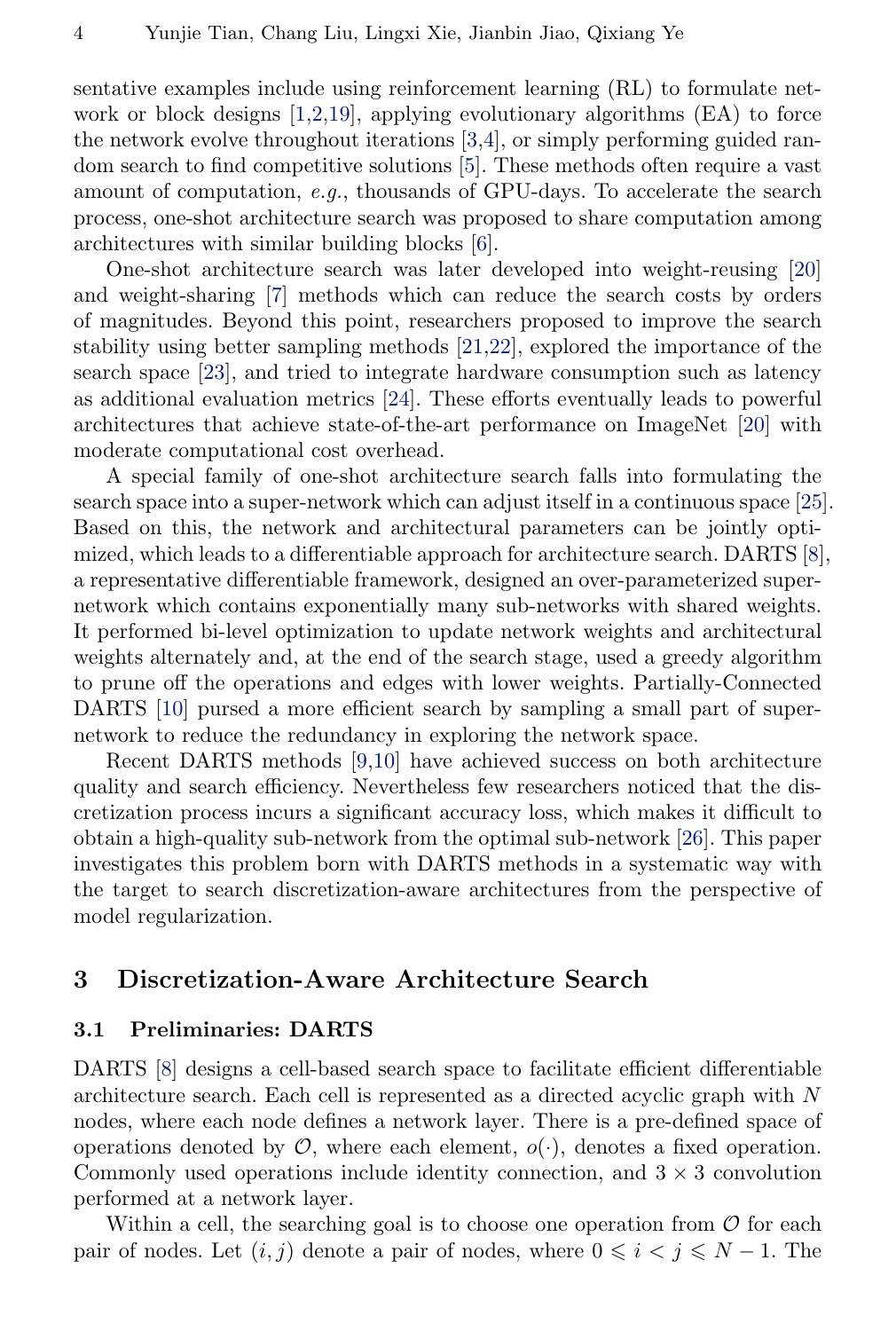sentative examples include using reinforcement learning (RL) to formulate network or block designs  $[1,2,19]$  $[1,2,19]$  $[1,2,19]$ , applying evolutionary algorithms  $(EA)$  to force the network evolve throughout iterations [\[3,](#page-14-2)[4\]](#page-14-3), or simply performing guided random search to find competitive solutions [\[5\]](#page-14-4). These methods often require a vast amount of computation, e.g., thousands of GPU-days. To accelerate the search process, one-shot architecture search was proposed to share computation among architectures with similar building blocks [\[6\]](#page-14-5).

One-shot architecture search was later developed into weight-reusing [\[20\]](#page-14-19) and weight-sharing [\[7\]](#page-14-6) methods which can reduce the search costs by orders of magnitudes. Beyond this point, researchers proposed to improve the search stability using better sampling methods [\[21](#page-14-20)[,22\]](#page-14-21), explored the importance of the search space [\[23\]](#page-14-22), and tried to integrate hardware consumption such as latency as additional evaluation metrics [\[24\]](#page-15-0). These efforts eventually leads to powerful architectures that achieve state-of-the-art performance on ImageNet [\[20\]](#page-14-19) with moderate computational cost overhead.

A special family of one-shot architecture search falls into formulating the search space into a super-network which can adjust itself in a continuous space [\[25\]](#page-15-1). Based on this, the network and architectural parameters can be jointly optimized, which leads to a differentiable approach for architecture search. DARTS [\[8\]](#page-14-7), a representative differentiable framework, designed an over-parameterized supernetwork which contains exponentially many sub-networks with shared weights. It performed bi-level optimization to update network weights and architectural weights alternately and, at the end of the search stage, used a greedy algorithm to prune off the operations and edges with lower weights. Partially-Connected DARTS [\[10\]](#page-14-9) pursed a more efficient search by sampling a small part of supernetwork to reduce the redundancy in exploring the network space.

Recent DARTS methods [\[9,](#page-14-8)[10\]](#page-14-9) have achieved success on both architecture quality and search efficiency. Nevertheless few researchers noticed that the discretization process incurs a significant accuracy loss, which makes it difficult to obtain a high-quality sub-network from the optimal sub-network [\[26\]](#page-15-2). This paper investigates this problem born with DARTS methods in a systematic way with the target to search discretization-aware architectures from the perspective of model regularization.

# 3 Discretization-Aware Architecture Search

## 3.1 Preliminaries: DARTS

DARTS [\[8\]](#page-14-7) designs a cell-based search space to facilitate efficient differentiable architecture search. Each cell is represented as a directed acyclic graph with N nodes, where each node defines a network layer. There is a pre-defined space of operations denoted by  $\mathcal{O}$ , where each element,  $o(\cdot)$ , denotes a fixed operation. Commonly used operations include identity connection, and  $3 \times 3$  convolution performed at a network layer.

Within a cell, the searching goal is to choose one operation from  $\mathcal O$  for each pair of nodes. Let  $(i, j)$  denote a pair of nodes, where  $0 \leq i \leq j \leq N - 1$ . The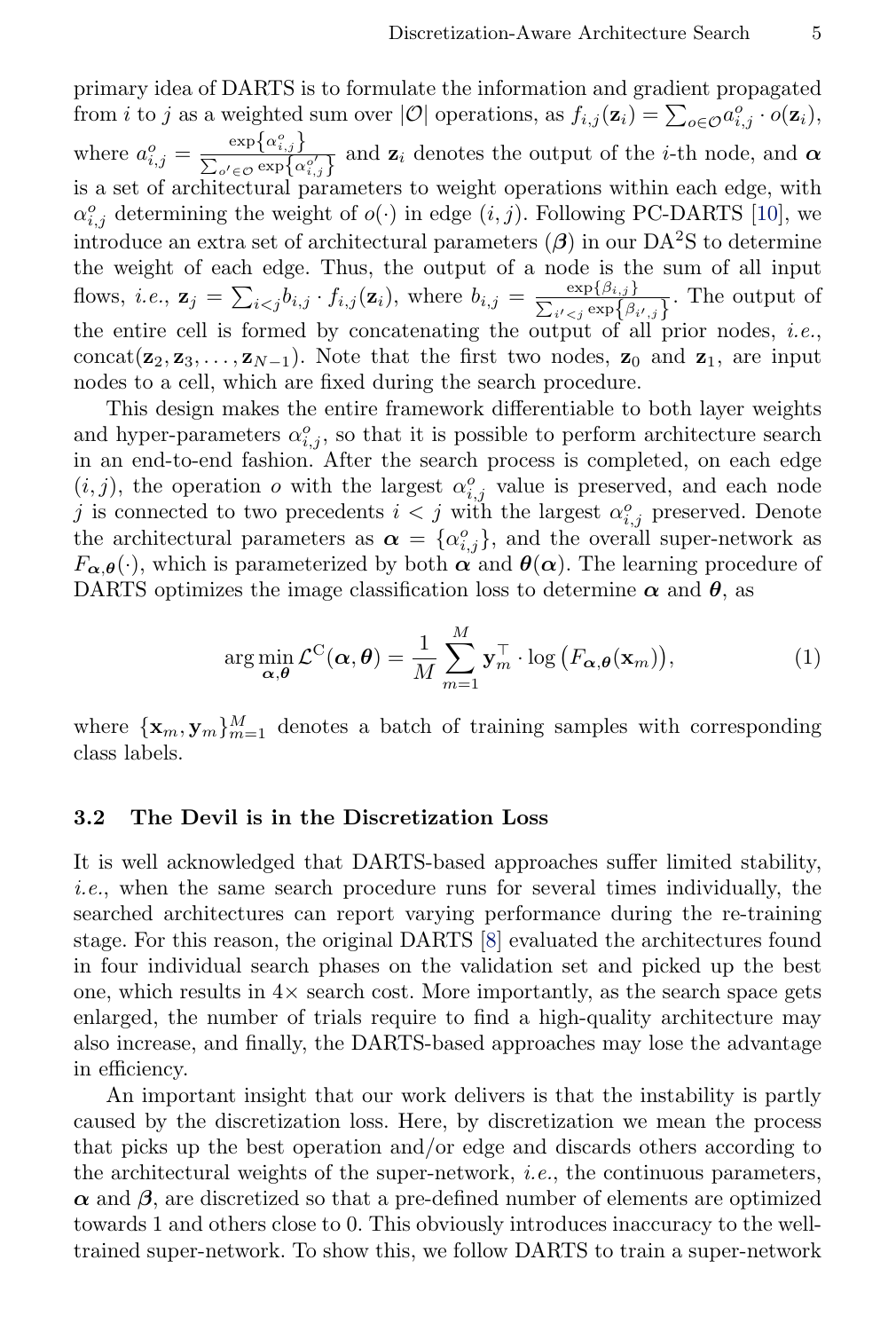primary idea of DARTS is to formulate the information and gradient propagated from *i* to *j* as a weighted sum over  $|O|$  operations, as  $f_{i,j}(\mathbf{z}_i) = \sum_{o \in O} a_{i,j}^o \cdot o(\mathbf{z}_i)$ , where  $a_{i,j}^o = \frac{\exp\{\alpha_{i,j}^o\}}{\sum_{j \in \mathcal{S}} \exp\{\alpha_j\}}$  $\frac{\partial \Omega_{\mathbf{P}}(\mathbf{x}_{i,j})}{\sum_{o' \in \mathcal{O}} \exp\{\alpha_{i,j}^o\}}$  and  $\mathbf{z}_i$  denotes the output of the *i*-th node, and  $\alpha$ is a set of architectural parameters to weight operations within each edge, with  $\alpha_{i,j}^o$  determining the weight of  $o(\cdot)$  in edge  $(i, j)$ . Following PC-DARTS [\[10\]](#page-14-9), we introduce an extra set of architectural parameters  $(\beta)$  in our DA<sup>2</sup>S to determine the weight of each edge. Thus, the output of a node is the sum of all input flows, *i.e.*,  $\mathbf{z}_j = \sum_{i < j} b_{i,j} \cdot f_{i,j}(\mathbf{z}_i)$ , where  $b_{i,j} = \frac{\exp\{\beta_{i,j}\}}{\sum_{i \in \mathcal{S}} \exp\{\beta_i\}}$  $\frac{\exp\{p_{i,j}\}}{\sum_{i'. The output of$ the entire cell is formed by concatenating the output of all prior nodes, *i.e.*, concat( $z_2, z_3, \ldots, z_{N-1}$ ). Note that the first two nodes,  $z_0$  and  $z_1$ , are input nodes to a cell, which are fixed during the search procedure.

This design makes the entire framework differentiable to both layer weights and hyper-parameters  $\alpha_{i,j}^o$ , so that it is possible to perform architecture search in an end-to-end fashion. After the search process is completed, on each edge  $(i, j)$ , the operation *o* with the largest  $\alpha_{i,j}^o$  value is preserved, and each node j is connected to two precedents  $i < j$  with the largest  $\alpha_{i,j}^o$  preserved. Denote the architectural parameters as  $\boldsymbol{\alpha} = {\{\alpha_{i,j}^o\}}$ , and the overall super-network as  $F_{\alpha,\theta}(\cdot)$ , which is parameterized by both  $\alpha$  and  $\theta(\alpha)$ . The learning procedure of DARTS optimizes the image classification loss to determine  $\alpha$  and  $\theta$ , as

$$
\arg\min_{\boldsymbol{\alpha},\boldsymbol{\theta}} \mathcal{L}^{\mathcal{C}}(\boldsymbol{\alpha},\boldsymbol{\theta}) = \frac{1}{M} \sum_{m=1}^{M} \mathbf{y}_{m}^{\top} \cdot \log (F_{\boldsymbol{\alpha},\boldsymbol{\theta}}(\mathbf{x}_{m})),
$$
\n(1)

where  $\{x_m, y_m\}_{m=1}^M$  denotes a batch of training samples with corresponding class labels.

#### 3.2 The Devil is in the Discretization Loss

It is well acknowledged that DARTS-based approaches suffer limited stability, i.e., when the same search procedure runs for several times individually, the searched architectures can report varying performance during the re-training stage. For this reason, the original DARTS [\[8\]](#page-14-7) evaluated the architectures found in four individual search phases on the validation set and picked up the best one, which results in  $4\times$  search cost. More importantly, as the search space gets enlarged, the number of trials require to find a high-quality architecture may also increase, and finally, the DARTS-based approaches may lose the advantage in efficiency.

An important insight that our work delivers is that the instability is partly caused by the discretization loss. Here, by discretization we mean the process that picks up the best operation and/or edge and discards others according to the architectural weights of the super-network, i.e., the continuous parameters,  $\alpha$  and  $\beta$ , are discretized so that a pre-defined number of elements are optimized towards 1 and others close to 0. This obviously introduces inaccuracy to the welltrained super-network. To show this, we follow DARTS to train a super-network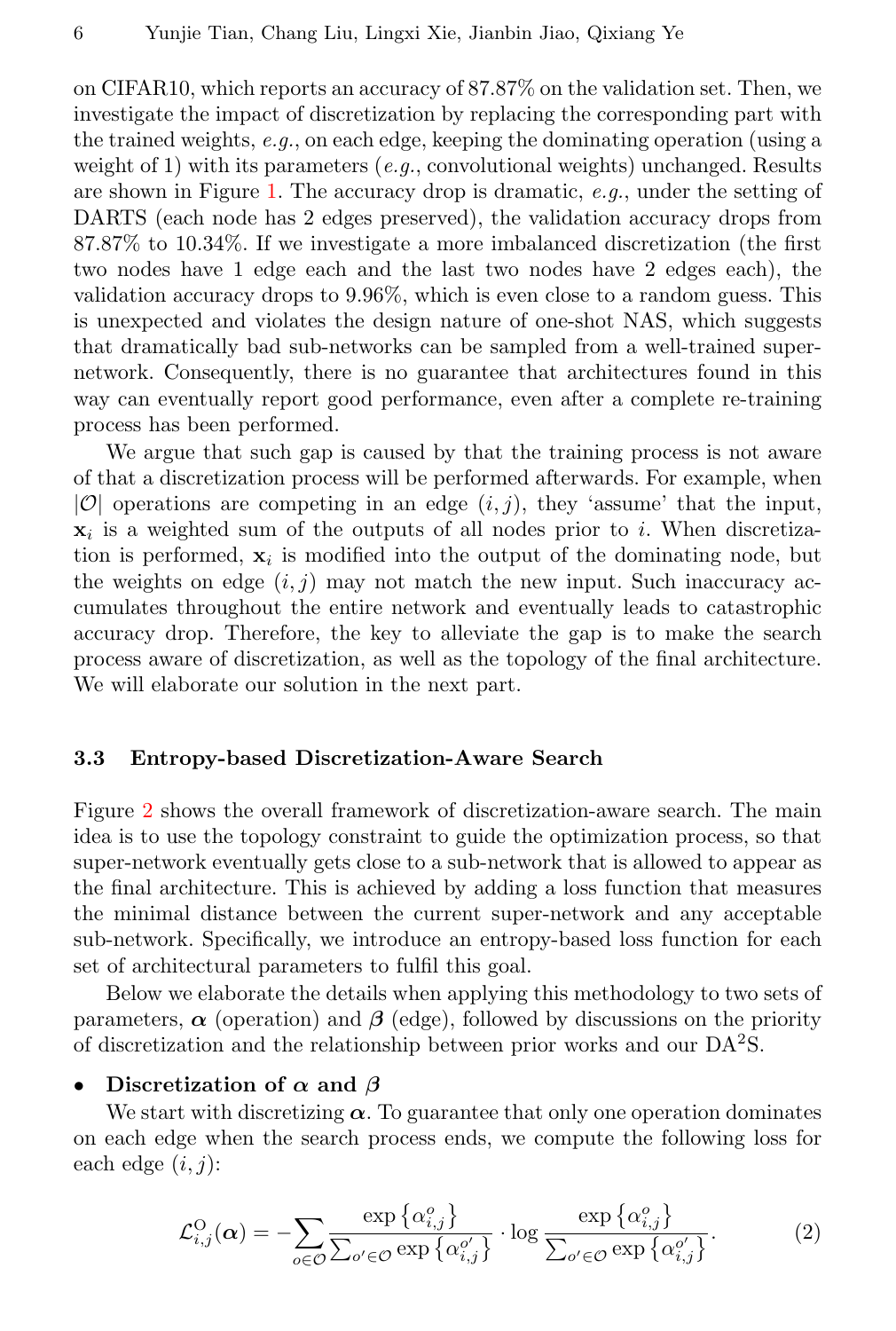on CIFAR10, which reports an accuracy of 87.87% on the validation set. Then, we investigate the impact of discretization by replacing the corresponding part with the trained weights,  $e.g.,$  on each edge, keeping the dominating operation (using a weight of 1) with its parameters (e.g., convolutional weights) unchanged. Results are shown in Figure [1.](#page-1-0) The accuracy drop is dramatic, e.g., under the setting of DARTS (each node has 2 edges preserved), the validation accuracy drops from 87.87% to 10.34%. If we investigate a more imbalanced discretization (the first two nodes have 1 edge each and the last two nodes have 2 edges each), the validation accuracy drops to 9.96%, which is even close to a random guess. This is unexpected and violates the design nature of one-shot NAS, which suggests that dramatically bad sub-networks can be sampled from a well-trained supernetwork. Consequently, there is no guarantee that architectures found in this way can eventually report good performance, even after a complete re-training process has been performed.

We argue that such gap is caused by that the training process is not aware of that a discretization process will be performed afterwards. For example, when  $|O|$  operations are competing in an edge  $(i, j)$ , they 'assume' that the input,  $\mathbf{x}_i$  is a weighted sum of the outputs of all nodes prior to i. When discretization is performed,  $x_i$  is modified into the output of the dominating node, but the weights on edge  $(i, j)$  may not match the new input. Such inaccuracy accumulates throughout the entire network and eventually leads to catastrophic accuracy drop. Therefore, the key to alleviate the gap is to make the search process aware of discretization, as well as the topology of the final architecture. We will elaborate our solution in the next part.

## 3.3 Entropy-based Discretization-Aware Search

Figure [2](#page-6-0) shows the overall framework of discretization-aware search. The main idea is to use the topology constraint to guide the optimization process, so that super-network eventually gets close to a sub-network that is allowed to appear as the final architecture. This is achieved by adding a loss function that measures the minimal distance between the current super-network and any acceptable sub-network. Specifically, we introduce an entropy-based loss function for each set of architectural parameters to fulfil this goal.

Below we elaborate the details when applying this methodology to two sets of parameters,  $\alpha$  (operation) and  $\beta$  (edge), followed by discussions on the priority of discretization and the relationship between prior works and our DA<sup>2</sup>S.

## Discretization of  $\alpha$  and  $\beta$

We start with discretizing  $\alpha$ . To guarantee that only one operation dominates on each edge when the search process ends, we compute the following loss for each edge  $(i, j)$ :

<span id="page-5-0"></span>
$$
\mathcal{L}_{i,j}^{\text{O}}(\alpha) = -\sum_{o \in \mathcal{O}} \frac{\exp\left\{\alpha_{i,j}^o\right\}}{\sum_{o' \in \mathcal{O}} \exp\left\{\alpha_{i,j}^{o'}\right\}} \cdot \log \frac{\exp\left\{\alpha_{i,j}^o\right\}}{\sum_{o' \in \mathcal{O}} \exp\left\{\alpha_{i,j}^{o'}\right\}}.
$$
 (2)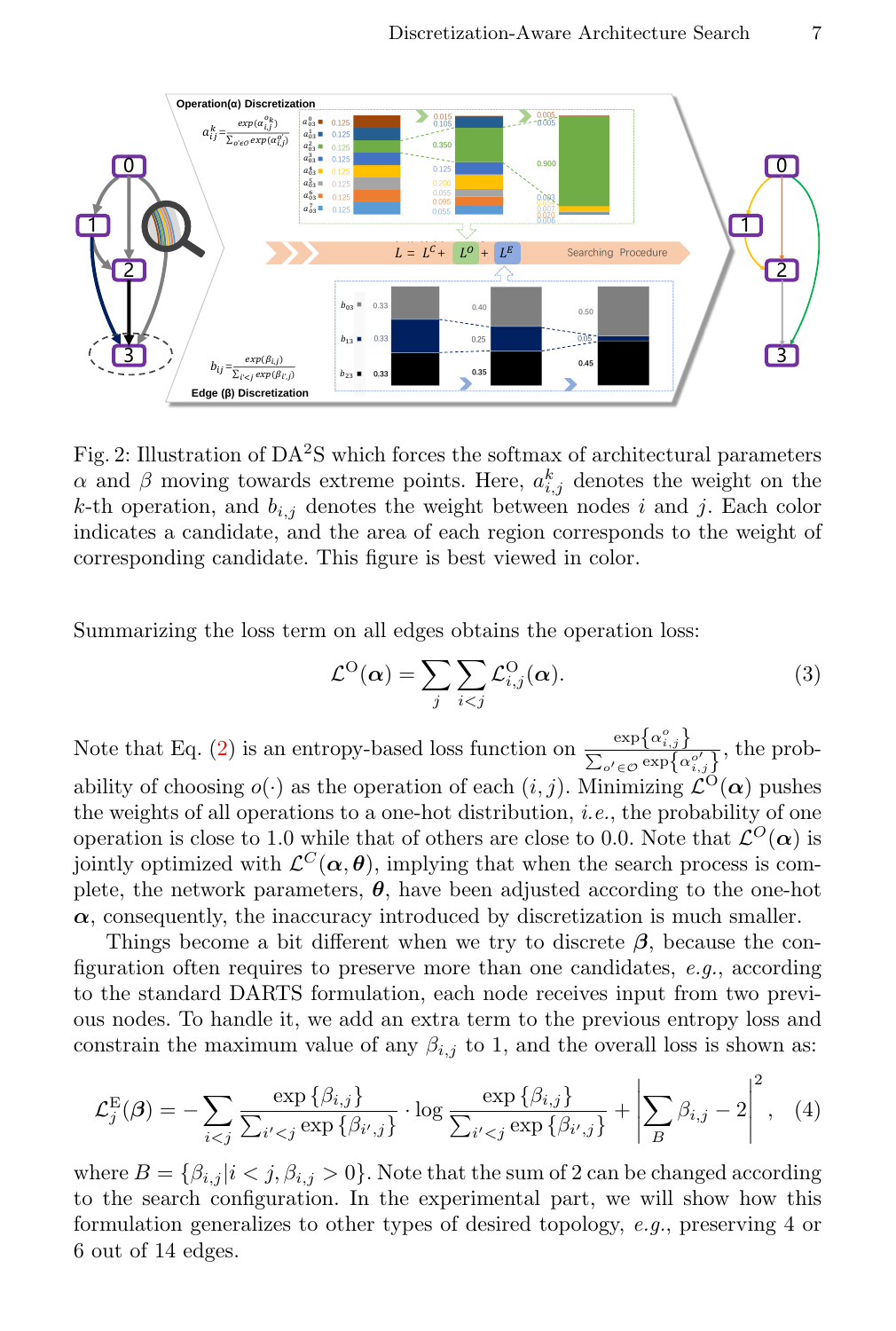<span id="page-6-0"></span>

Fig. 2: Illustration of  $DA^2S$  which forces the softmax of architectural parameters  $\alpha$  and  $\beta$  moving towards extreme points. Here,  $a_{i,j}^k$  denotes the weight on the k-th operation, and  $b_{i,j}$  denotes the weight between nodes i and j. Each color indicates a candidate, and the area of each region corresponds to the weight of corresponding candidate. This figure is best viewed in color.

Summarizing the loss term on all edges obtains the operation loss:

$$
\mathcal{L}^{\mathcal{O}}(\alpha) = \sum_{j} \sum_{i < j} \mathcal{L}^{\mathcal{O}}_{i,j}(\alpha). \tag{3}
$$

Note that Eq. [\(2\)](#page-5-0) is an entropy-based loss function on  $\frac{\exp{\{\alpha_{i,j}^o\}}}{{\sum_{i=1}^{n} a_{i,j}^o}}$  $\frac{\exp{\{\alpha_{i,j}\}}}{\sum_{o' \in \mathcal{O}} \exp{\{\alpha_{i,j}^{o'}}\}}$ , the probability of choosing  $o(\cdot)$  as the operation of each  $(i, j)$ . Minimizing  $\mathcal{L}^{O}(\alpha)$  pushes the weights of all operations to a one-hot distribution, i.e., the probability of one operation is close to 1.0 while that of others are close to 0.0. Note that  $\mathcal{L}^O(\alpha)$  is jointly optimized with  $\mathcal{L}^C(\alpha, \theta)$ , implying that when the search process is complete, the network parameters,  $\theta$ , have been adjusted according to the one-hot  $\alpha$ , consequently, the inaccuracy introduced by discretization is much smaller.

Things become a bit different when we try to discrete  $\beta$ , because the configuration often requires to preserve more than one candidates,  $e.g.,$  according to the standard DARTS formulation, each node receives input from two previous nodes. To handle it, we add an extra term to the previous entropy loss and constrain the maximum value of any  $\beta_{i,j}$  to 1, and the overall loss is shown as:

<span id="page-6-1"></span>
$$
\mathcal{L}_j^{\mathcal{E}}(\boldsymbol{\beta}) = -\sum_{i < j} \frac{\exp\{\beta_{i,j}\}}{\sum_{i' < j} \exp\{\beta_{i',j}\}} \cdot \log \frac{\exp\{\beta_{i,j}\}}{\sum_{i' < j} \exp\{\beta_{i',j}\}} + \left| \sum_{B} \beta_{i,j} - 2 \right|^2, \quad (4)
$$

where  $B = \{\beta_{i,j} | i \leq j, \beta_{i,j} > 0\}$ . Note that the sum of 2 can be changed according to the search configuration. In the experimental part, we will show how this formulation generalizes to other types of desired topology, e.g., preserving 4 or 6 out of 14 edges.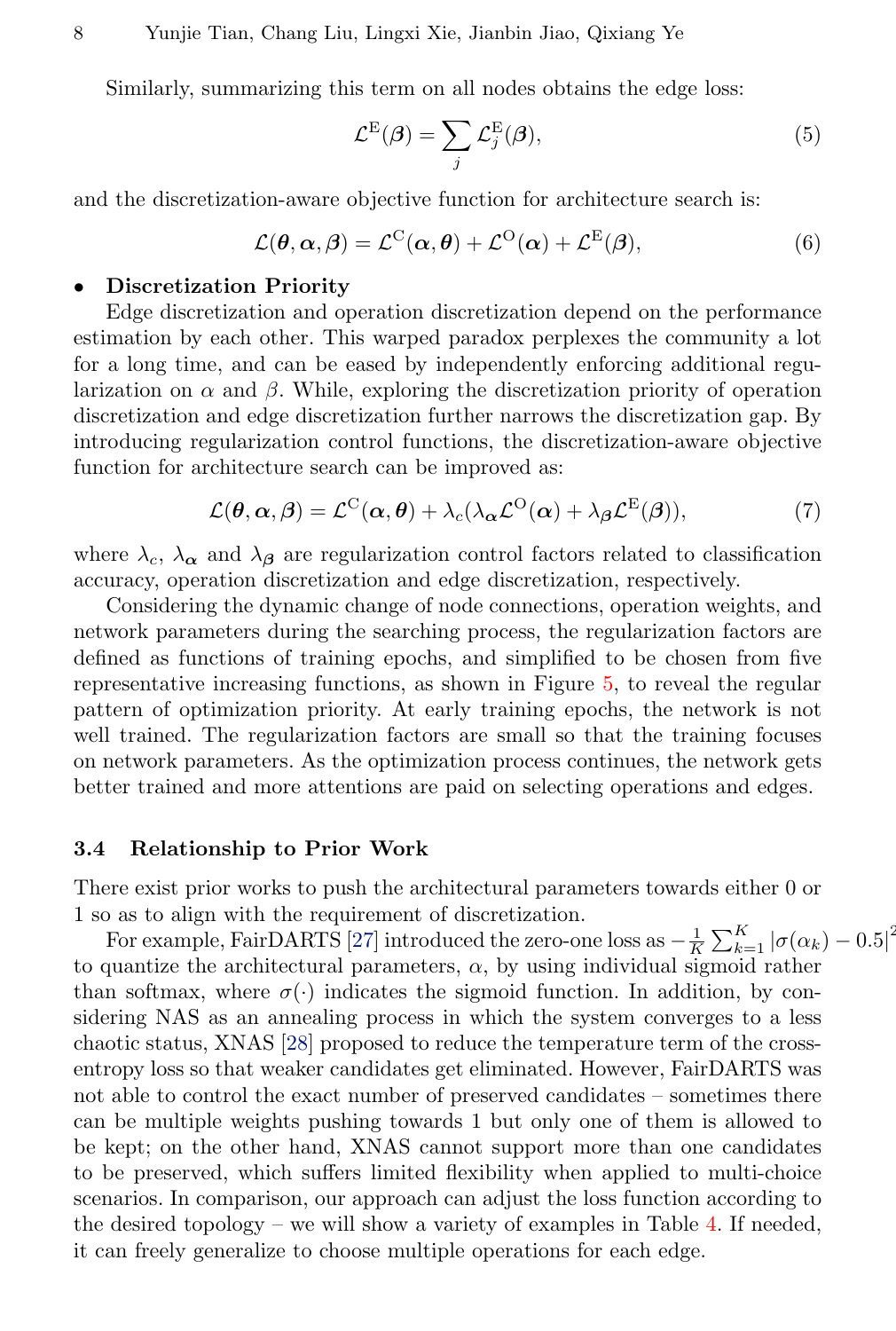Similarly, summarizing this term on all nodes obtains the edge loss:

$$
\mathcal{L}^{\mathcal{E}}(\boldsymbol{\beta}) = \sum_{j} \mathcal{L}_{j}^{\mathcal{E}}(\boldsymbol{\beta}),\tag{5}
$$

and the discretization-aware objective function for architecture search is:

$$
\mathcal{L}(\boldsymbol{\theta}, \boldsymbol{\alpha}, \boldsymbol{\beta}) = \mathcal{L}^{\mathcal{C}}(\boldsymbol{\alpha}, \boldsymbol{\theta}) + \mathcal{L}^{\mathcal{O}}(\boldsymbol{\alpha}) + \mathcal{L}^{\mathcal{E}}(\boldsymbol{\beta}),
$$
(6)

#### • Discretization Priority

Edge discretization and operation discretization depend on the performance estimation by each other. This warped paradox perplexes the community a lot for a long time, and can be eased by independently enforcing additional regularization on  $\alpha$  and  $\beta$ . While, exploring the discretization priority of operation discretization and edge discretization further narrows the discretization gap. By introducing regularization control functions, the discretization-aware objective function for architecture search can be improved as:

<span id="page-7-0"></span>
$$
\mathcal{L}(\boldsymbol{\theta}, \boldsymbol{\alpha}, \boldsymbol{\beta}) = \mathcal{L}^{\mathrm{C}}(\boldsymbol{\alpha}, \boldsymbol{\theta}) + \lambda_c (\lambda_{\boldsymbol{\alpha}} \mathcal{L}^{\mathrm{O}}(\boldsymbol{\alpha}) + \lambda_{\boldsymbol{\beta}} \mathcal{L}^{\mathrm{E}}(\boldsymbol{\beta})),
$$
(7)

where  $\lambda_c$ ,  $\lambda_\alpha$  and  $\lambda_\beta$  are regularization control factors related to classification accuracy, operation discretization and edge discretization, respectively.

Considering the dynamic change of node connections, operation weights, and network parameters during the searching process, the regularization factors are defined as functions of training epochs, and simplified to be chosen from five representative increasing functions, as shown in Figure [5,](#page-11-0) to reveal the regular pattern of optimization priority. At early training epochs, the network is not well trained. The regularization factors are small so that the training focuses on network parameters. As the optimization process continues, the network gets better trained and more attentions are paid on selecting operations and edges.

#### 3.4 Relationship to Prior Work

There exist prior works to push the architectural parameters towards either 0 or 1 so as to align with the requirement of discretization.

For example, FairDARTS [\[27\]](#page-15-3) introduced the zero-one loss as  $-\frac{1}{K}\sum_{k=1}^{K}|\sigma(\alpha_k)-0.5|^2$ to quantize the architectural parameters,  $\alpha$ , by using individual sigmoid rather than softmax, where  $\sigma(\cdot)$  indicates the sigmoid function. In addition, by considering NAS as an annealing process in which the system converges to a less chaotic status, XNAS [\[28\]](#page-15-4) proposed to reduce the temperature term of the crossentropy loss so that weaker candidates get eliminated. However, FairDARTS was not able to control the exact number of preserved candidates – sometimes there can be multiple weights pushing towards 1 but only one of them is allowed to be kept; on the other hand, XNAS cannot support more than one candidates to be preserved, which suffers limited flexibility when applied to multi-choice scenarios. In comparison, our approach can adjust the loss function according to the desired topology – we will show a variety of examples in Table [4.](#page-12-0) If needed, it can freely generalize to choose multiple operations for each edge.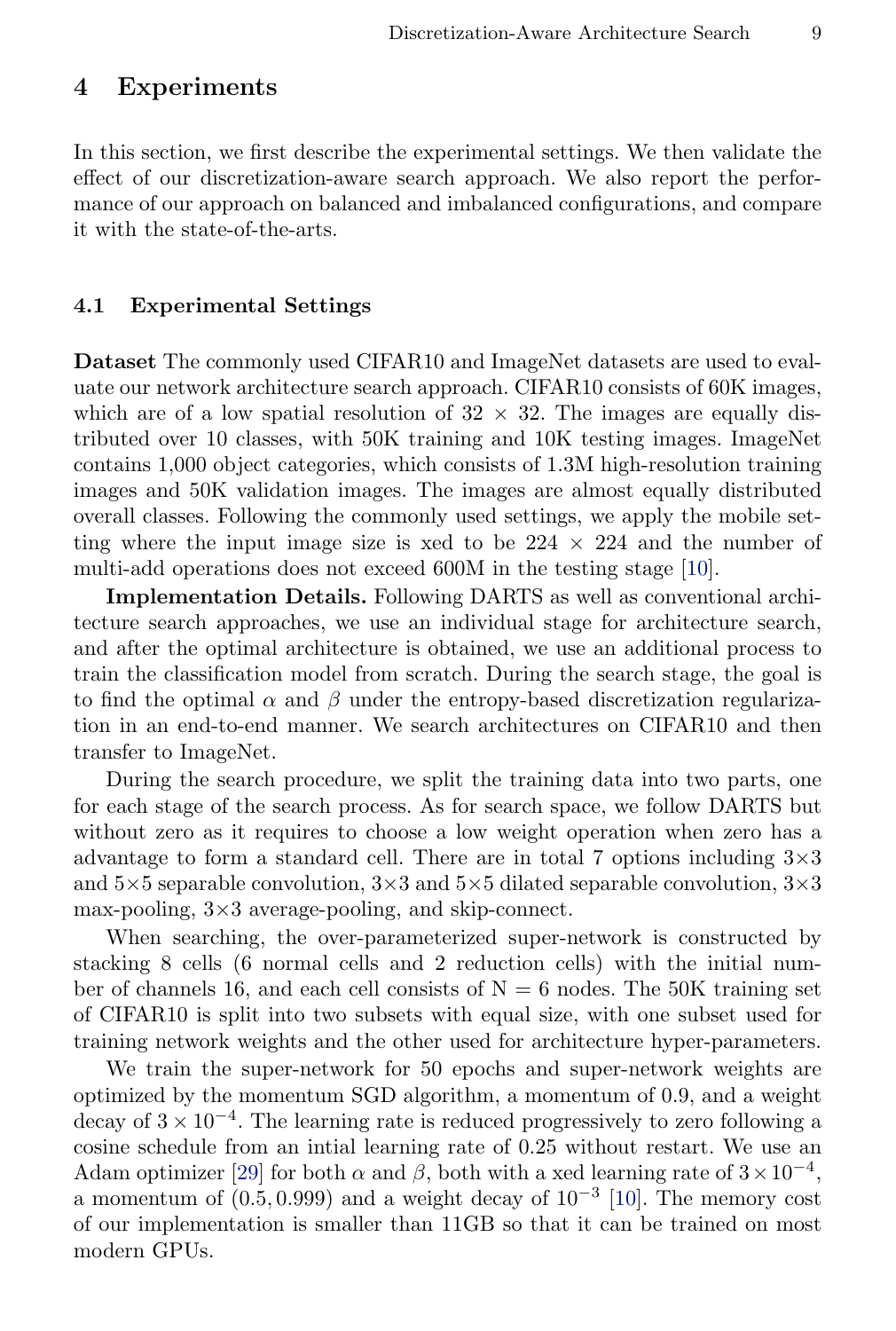# 4 Experiments

In this section, we first describe the experimental settings. We then validate the effect of our discretization-aware search approach. We also report the performance of our approach on balanced and imbalanced configurations, and compare it with the state-of-the-arts.

### 4.1 Experimental Settings

Dataset The commonly used CIFAR10 and ImageNet datasets are used to evaluate our network architecture search approach. CIFAR10 consists of 60K images, which are of a low spatial resolution of  $32 \times 32$ . The images are equally distributed over 10 classes, with 50K training and 10K testing images. ImageNet contains 1,000 object categories, which consists of 1.3M high-resolution training images and 50K validation images. The images are almost equally distributed overall classes. Following the commonly used settings, we apply the mobile setting where the input image size is xed to be  $224 \times 224$  and the number of multi-add operations does not exceed 600M in the testing stage [\[10\]](#page-14-9).

Implementation Details. Following DARTS as well as conventional architecture search approaches, we use an individual stage for architecture search, and after the optimal architecture is obtained, we use an additional process to train the classification model from scratch. During the search stage, the goal is to find the optimal  $\alpha$  and  $\beta$  under the entropy-based discretization regularization in an end-to-end manner. We search architectures on CIFAR10 and then transfer to ImageNet.

During the search procedure, we split the training data into two parts, one for each stage of the search process. As for search space, we follow DARTS but without zero as it requires to choose a low weight operation when zero has a advantage to form a standard cell. There are in total 7 options including  $3\times3$ and  $5\times 5$  separable convolution,  $3\times 3$  and  $5\times 5$  dilated separable convolution,  $3\times 3$ max-pooling, 3×3 average-pooling, and skip-connect.

When searching, the over-parameterized super-network is constructed by stacking 8 cells (6 normal cells and 2 reduction cells) with the initial number of channels 16, and each cell consists of  $N = 6$  nodes. The 50K training set of CIFAR10 is split into two subsets with equal size, with one subset used for training network weights and the other used for architecture hyper-parameters.

We train the super-network for 50 epochs and super-network weights are optimized by the momentum SGD algorithm, a momentum of 0.9, and a weight decay of  $3 \times 10^{-4}$ . The learning rate is reduced progressively to zero following a cosine schedule from an intial learning rate of 0.25 without restart. We use an Adam optimizer [\[29\]](#page-15-5) for both  $\alpha$  and  $\beta$ , both with a xed learning rate of  $3 \times 10^{-4}$ , a momentum of  $(0.5, 0.999)$  and a weight decay of  $10^{-3}$  [\[10\]](#page-14-9). The memory cost of our implementation is smaller than 11GB so that it can be trained on most modern GPUs.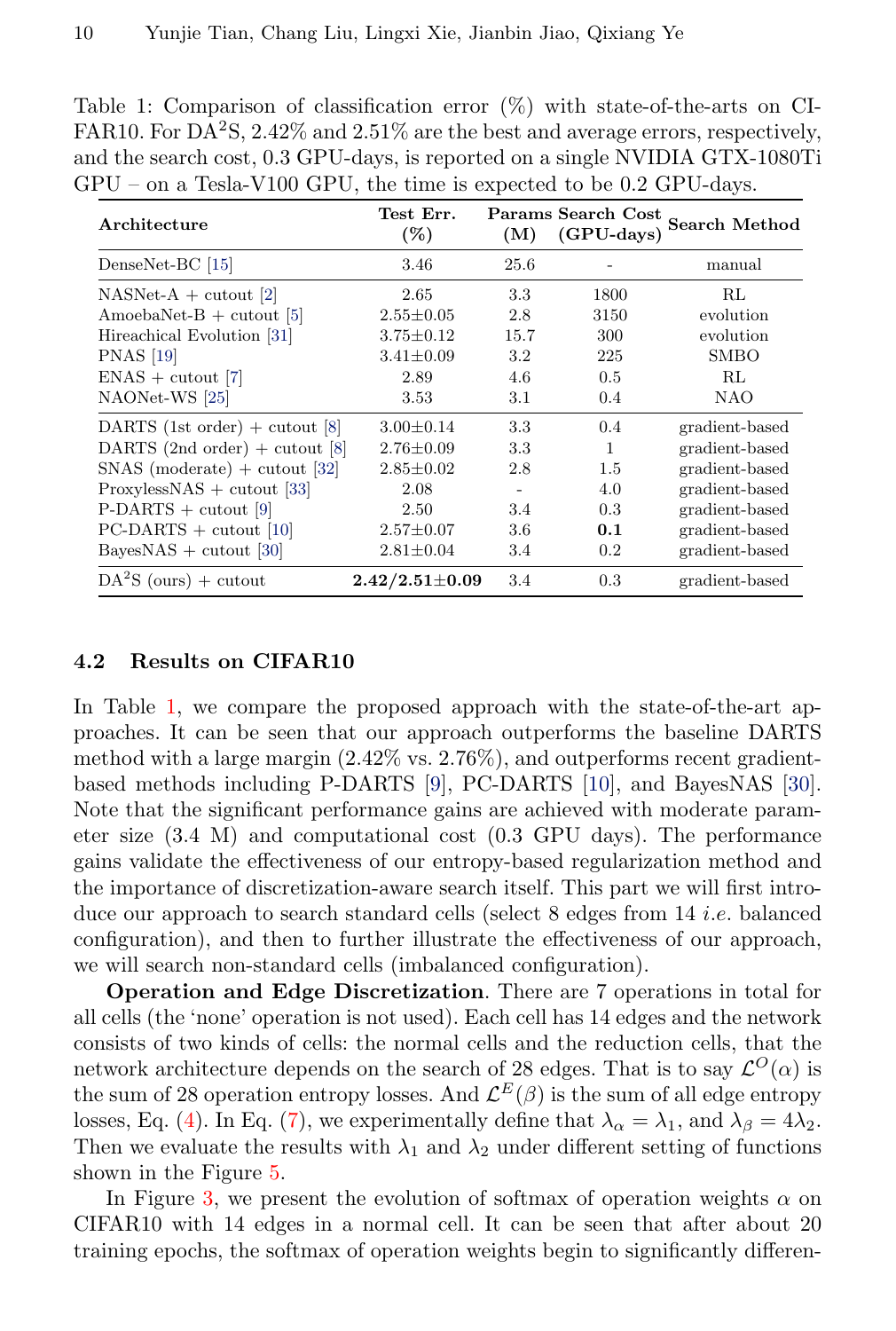<span id="page-9-0"></span>Table 1: Comparison of classification error (%) with state-of-the-arts on CI-FAR10. For DA<sup>2</sup>S, 2.42% and 2.51% are the best and average errors, respectively, and the search cost, 0.3 GPU-days, is reported on a single NVIDIA GTX-1080Ti GPU – on a Tesla-V100 GPU, the time is expected to be 0.2 GPU-days.

| Architecture                     | Test Err.<br>$(\%)$  | (M)     | $(GPU$ -days) | Params Search Cost Search Method |
|----------------------------------|----------------------|---------|---------------|----------------------------------|
| DenseNet-BC [15]                 | 3.46                 | 25.6    |               | manual                           |
| $NASNet-A + cutout [2]$          | 2.65                 | 3.3     | 1800          | RL                               |
| AmoebaNet-B $+$ cutout [5]       | $2.55 \pm 0.05$      | 2.8     | 3150          | evolution                        |
| Hireachical Evolution [31]       | $3.75 \pm 0.12$      | 15.7    | 300           | evolution                        |
| <b>PNAS</b> [19]                 | $3.41 \pm 0.09$      | $3.2\,$ | 225           | <b>SMBO</b>                      |
| $ENAS + cutout [7]$              | 2.89                 | 4.6     | 0.5           | RL                               |
| NAONet-WS [25]                   | 3.53                 | 3.1     | 0.4           | <b>NAO</b>                       |
| DARTS (1st order) $+$ cutout [8] | $3.00 \pm 0.14$      | 3.3     | 0.4           | gradient-based                   |
| DARTS $(2nd order) + cutout [8]$ | $2.76 \pm 0.09$      | 3.3     | 1             | gradient-based                   |
| $SNAS$ (moderate) + cutout [32]  | $2.85 \pm 0.02$      | 2.8     | 1.5           | gradient-based                   |
| $ProxylessNAS + cutout [33]$     | 2.08                 |         | 4.0           | gradient-based                   |
| $P-DARTS + cutout [9]$           | 2.50                 | 3.4     | 0.3           | gradient-based                   |
| $PC-DARTS + cutout$ [10]         | $2.57 \pm 0.07$      | 3.6     | 0.1           | gradient-based                   |
| $BayesNAS + cutout [30]$         | $2.81 \pm 0.04$      | 3.4     | 0.2           | gradient-based                   |
| $DA^2S$ (ours) + cutout          | $2.42/2.51 \pm 0.09$ | 3.4     | 0.3           | gradient-based                   |

## 4.2 Results on CIFAR10

In Table [1,](#page-9-0) we compare the proposed approach with the state-of-the-art approaches. It can be seen that our approach outperforms the baseline DARTS method with a large margin (2.42% vs. 2.76%), and outperforms recent gradientbased methods including P-DARTS [\[9\]](#page-14-8), PC-DARTS [\[10\]](#page-14-9), and BayesNAS [\[30\]](#page-15-9). Note that the significant performance gains are achieved with moderate parameter size (3.4 M) and computational cost (0.3 GPU days). The performance gains validate the effectiveness of our entropy-based regularization method and the importance of discretization-aware search itself. This part we will first introduce our approach to search standard cells (select 8 edges from 14 *i.e.* balanced configuration), and then to further illustrate the effectiveness of our approach, we will search non-standard cells (imbalanced configuration).

Operation and Edge Discretization. There are 7 operations in total for all cells (the 'none' operation is not used). Each cell has 14 edges and the network consists of two kinds of cells: the normal cells and the reduction cells, that the network architecture depends on the search of 28 edges. That is to say  $\mathcal{L}^O(\alpha)$  is the sum of 28 operation entropy losses. And  $\mathcal{L}^E(\beta)$  is the sum of all edge entropy losses, Eq. [\(4\)](#page-6-1). In Eq. [\(7\)](#page-7-0), we experimentally define that  $\lambda_{\alpha} = \lambda_1$ , and  $\lambda_{\beta} = 4\lambda_2$ . Then we evaluate the results with  $\lambda_1$  and  $\lambda_2$  under different setting of functions shown in the Figure [5.](#page-11-0)

In Figure [3,](#page-10-0) we present the evolution of softmax of operation weights  $\alpha$  on CIFAR10 with 14 edges in a normal cell. It can be seen that after about 20 training epochs, the softmax of operation weights begin to significantly differen-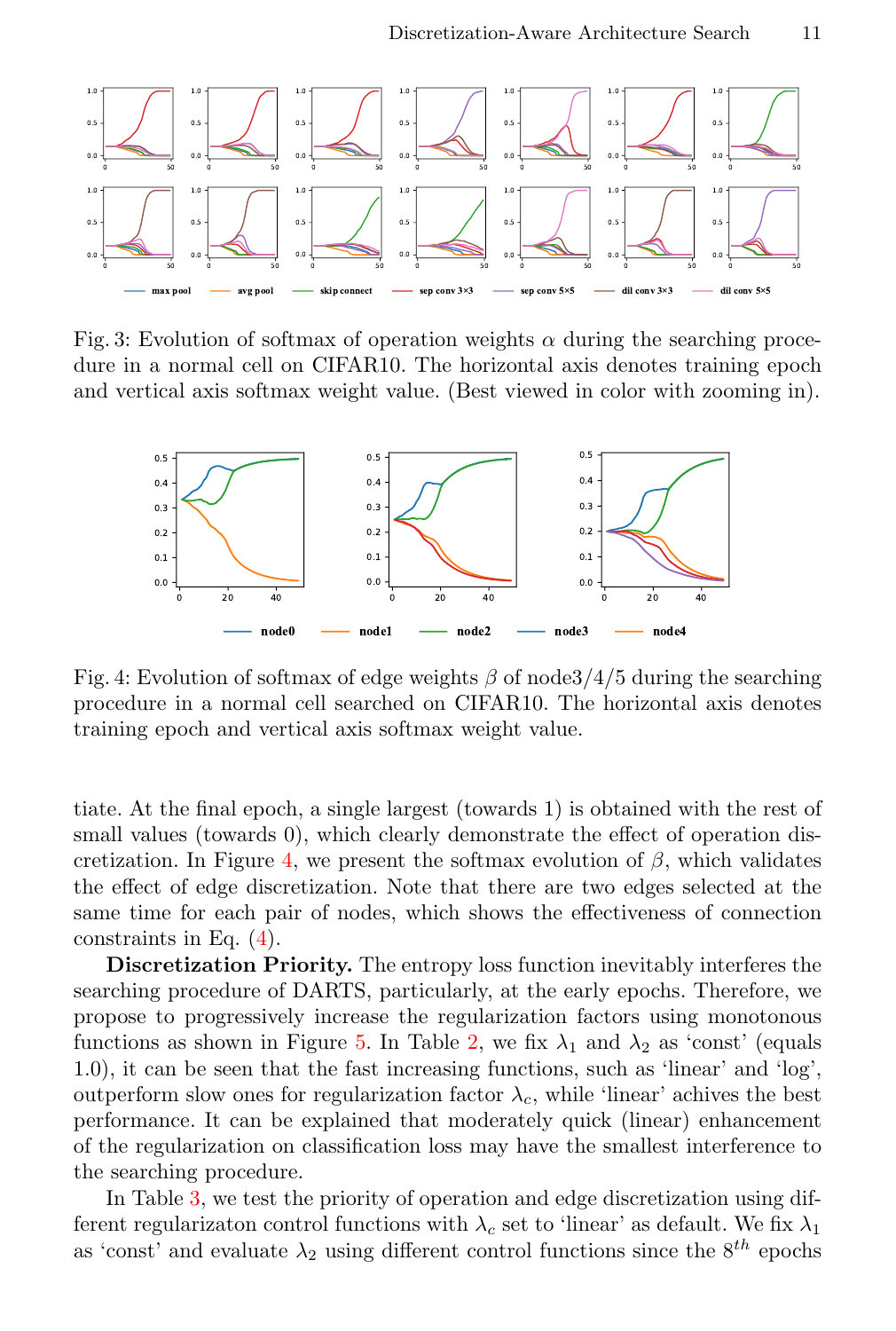<span id="page-10-0"></span>

Fig. 3: Evolution of softmax of operation weights  $\alpha$  during the searching procedure in a normal cell on CIFAR10. The horizontal axis denotes training epoch and vertical axis softmax weight value. (Best viewed in color with zooming in).

<span id="page-10-1"></span>

Fig. 4: Evolution of softmax of edge weights  $\beta$  of node 3/4/5 during the searching procedure in a normal cell searched on CIFAR10. The horizontal axis denotes training epoch and vertical axis softmax weight value.

tiate. At the final epoch, a single largest (towards 1) is obtained with the rest of small values (towards 0), which clearly demonstrate the effect of operation dis-cretization. In Figure [4,](#page-10-1) we present the softmax evolution of  $\beta$ , which validates the effect of edge discretization. Note that there are two edges selected at the same time for each pair of nodes, which shows the effectiveness of connection constraints in Eq. [\(4\)](#page-6-1).

Discretization Priority. The entropy loss function inevitably interferes the searching procedure of DARTS, particularly, at the early epochs. Therefore, we propose to progressively increase the regularization factors using monotonous functions as shown in Figure [5.](#page-11-0) In Table [2,](#page-11-1) we fix  $\lambda_1$  and  $\lambda_2$  as 'const' (equals 1.0), it can be seen that the fast increasing functions, such as 'linear' and 'log', outperform slow ones for regularization factor  $\lambda_c$ , while 'linear' achives the best performance. It can be explained that moderately quick (linear) enhancement of the regularization on classification loss may have the smallest interference to the searching procedure.

In Table [3,](#page-11-2) we test the priority of operation and edge discretization using different regularizaton control functions with  $\lambda_c$  set to 'linear' as default. We fix  $\lambda_1$ as 'const' and evaluate  $\lambda_2$  using different control functions since the  $8^{th}$  epochs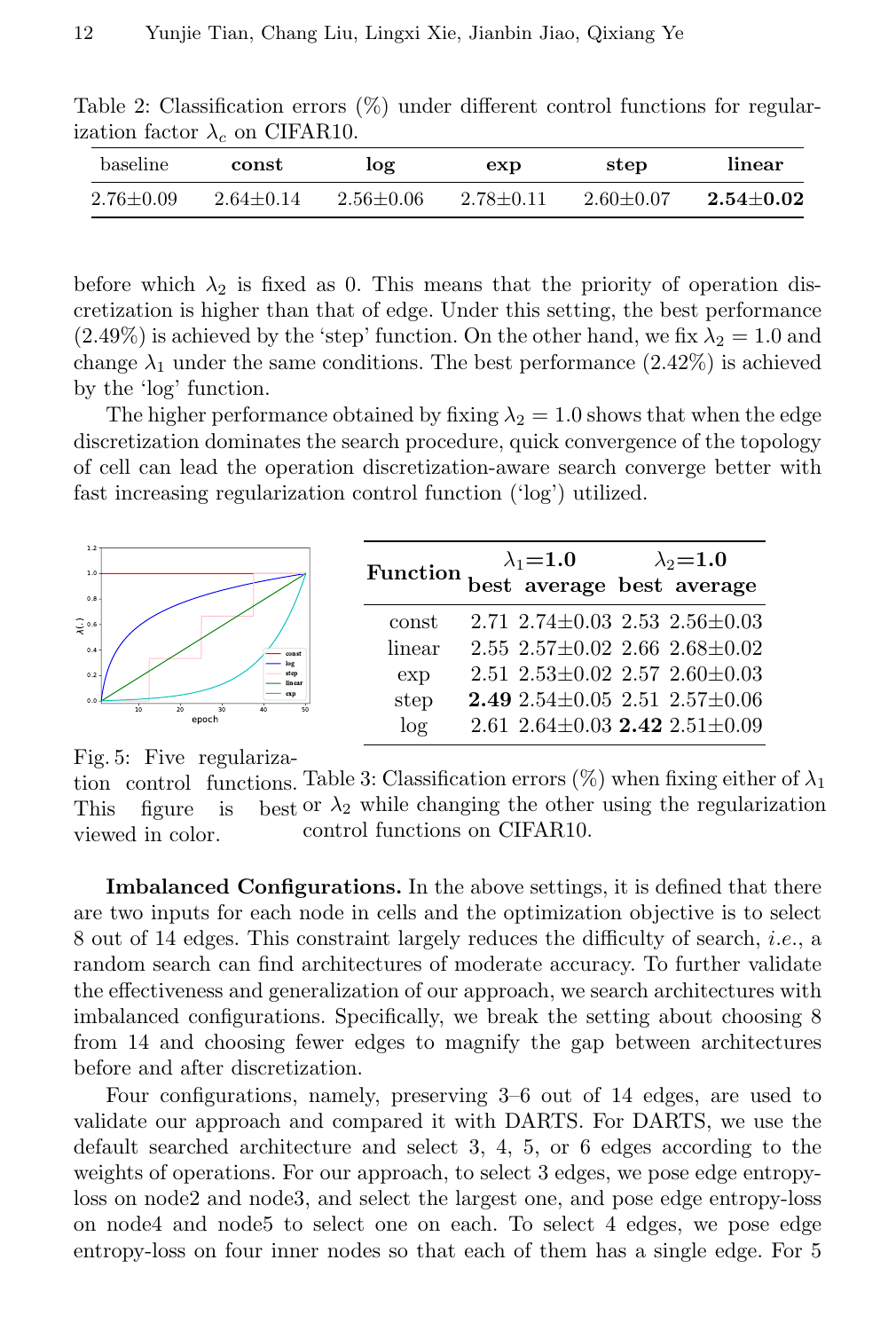<span id="page-11-1"></span>Table 2: Classification errors (%) under different control functions for regularization factor  $\lambda_c$  on CIFAR10.

| baseline        | const         | log           | exp           | step          | linear        |
|-----------------|---------------|---------------|---------------|---------------|---------------|
| $2.76 \pm 0.09$ | $2.64 + 0.14$ | $2.56 + 0.06$ | $2.78 + 0.11$ | $2.60 + 0.07$ | $2.54 + 0.02$ |

before which  $\lambda_2$  is fixed as 0. This means that the priority of operation discretization is higher than that of edge. Under this setting, the best performance  $(2.49\%)$  is achieved by the 'step' function. On the other hand, we fix  $\lambda_2 = 1.0$  and change  $\lambda_1$  under the same conditions. The best performance (2.42%) is achieved by the 'log' function.

The higher performance obtained by fixing  $\lambda_2 = 1.0$  shows that when the edge discretization dominates the search procedure, quick convergence of the topology of cell can lead the operation discretization-aware search converge better with fast increasing regularization control function ('log') utilized.



<span id="page-11-0"></span>Fig. 5: Five regulariza-

<span id="page-11-2"></span>tion control functions. Table 3: Classification errors  $(\%)$  when fixing either of  $\lambda_1$ This figure is viewed in color.  $\lambda_2$  while changing the other using the regularization control functions on CIFAR10.

Imbalanced Configurations. In the above settings, it is defined that there are two inputs for each node in cells and the optimization objective is to select 8 out of 14 edges. This constraint largely reduces the difficulty of search, i.e., a random search can find architectures of moderate accuracy. To further validate the effectiveness and generalization of our approach, we search architectures with imbalanced configurations. Specifically, we break the setting about choosing 8 from 14 and choosing fewer edges to magnify the gap between architectures before and after discretization.

Four configurations, namely, preserving 3–6 out of 14 edges, are used to validate our approach and compared it with DARTS. For DARTS, we use the default searched architecture and select 3, 4, 5, or 6 edges according to the weights of operations. For our approach, to select 3 edges, we pose edge entropyloss on node2 and node3, and select the largest one, and pose edge entropy-loss on node4 and node5 to select one on each. To select 4 edges, we pose edge entropy-loss on four inner nodes so that each of them has a single edge. For 5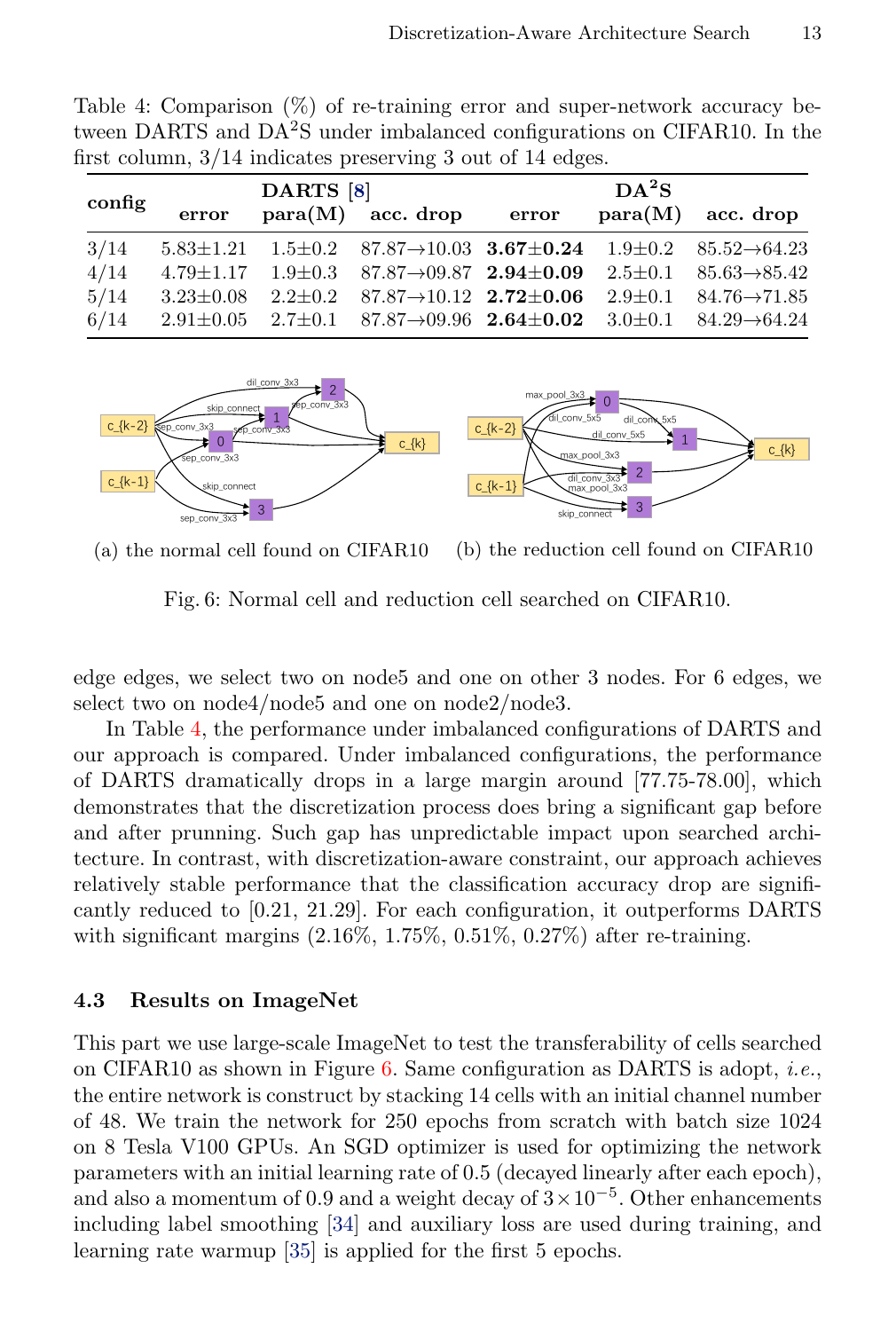| config | error | DARTS [8] | $para(M)$ acc. drop error                                                                                              | DA <sup>2</sup> S | $para(M)$ acc. drop |
|--------|-------|-----------|------------------------------------------------------------------------------------------------------------------------|-------------------|---------------------|
| 3/14   |       |           | $5.83\pm1.21$ $1.5\pm0.2$ $87.87\rightarrow10.03$ $3.67\pm0.24$ $1.9\pm0.2$ $85.52\rightarrow64.23$                    |                   |                     |
| 4/14   |       |           | $4.79\pm1.17$ $1.9\pm0.3$ $87.87\rightarrow09.87$ $2.94\pm0.09$ $2.5\pm0.1$ $85.63\rightarrow85.42$                    |                   |                     |
| 5/14   |       |           | $3.23\pm0.08$ $2.2\pm0.2$ $87.87\rightarrow10.12$ $2.72\pm0.06$ $2.9\pm0.1$ $84.76\rightarrow71.85$                    |                   |                     |
|        |       |           | $6/14$ $2.91 \pm 0.05$ $2.7 \pm 0.1$ $87.87 \rightarrow 09.96$ $2.64 \pm 0.02$ $3.0 \pm 0.1$ $84.29 \rightarrow 64.24$ |                   |                     |

<span id="page-12-0"></span>Table 4: Comparison (%) of re-training error and super-network accuracy between DARTS and DA2S under imbalanced configurations on CIFAR10. In the first column, 3/14 indicates preserving 3 out of 14 edges.

<span id="page-12-1"></span>

(a) the normal cell found on CIFAR10 (b) the reduction cell found on CIFAR10

Fig. 6: Normal cell and reduction cell searched on CIFAR10.

edge edges, we select two on node5 and one on other 3 nodes. For 6 edges, we select two on node4/node5 and one on node2/node3.

In Table [4,](#page-12-0) the performance under imbalanced configurations of DARTS and our approach is compared. Under imbalanced configurations, the performance of DARTS dramatically drops in a large margin around [77.75-78.00], which demonstrates that the discretization process does bring a significant gap before and after prunning. Such gap has unpredictable impact upon searched architecture. In contrast, with discretization-aware constraint, our approach achieves relatively stable performance that the classification accuracy drop are significantly reduced to [0.21, 21.29]. For each configuration, it outperforms DARTS with significant margins  $(2.16\%, 1.75\%, 0.51\%, 0.27\%)$  after re-training.

## 4.3 Results on ImageNet

This part we use large-scale ImageNet to test the transferability of cells searched on CIFAR10 as shown in Figure [6.](#page-12-1) Same configuration as DARTS is adopt, i.e., the entire network is construct by stacking 14 cells with an initial channel number of 48. We train the network for 250 epochs from scratch with batch size 1024 on 8 Tesla V100 GPUs. An SGD optimizer is used for optimizing the network parameters with an initial learning rate of 0.5 (decayed linearly after each epoch), and also a momentum of 0.9 and a weight decay of  $3 \times 10^{-5}$ . Other enhancements including label smoothing [\[34\]](#page-15-10) and auxiliary loss are used during training, and learning rate warmup [\[35\]](#page-15-11) is applied for the first 5 epochs.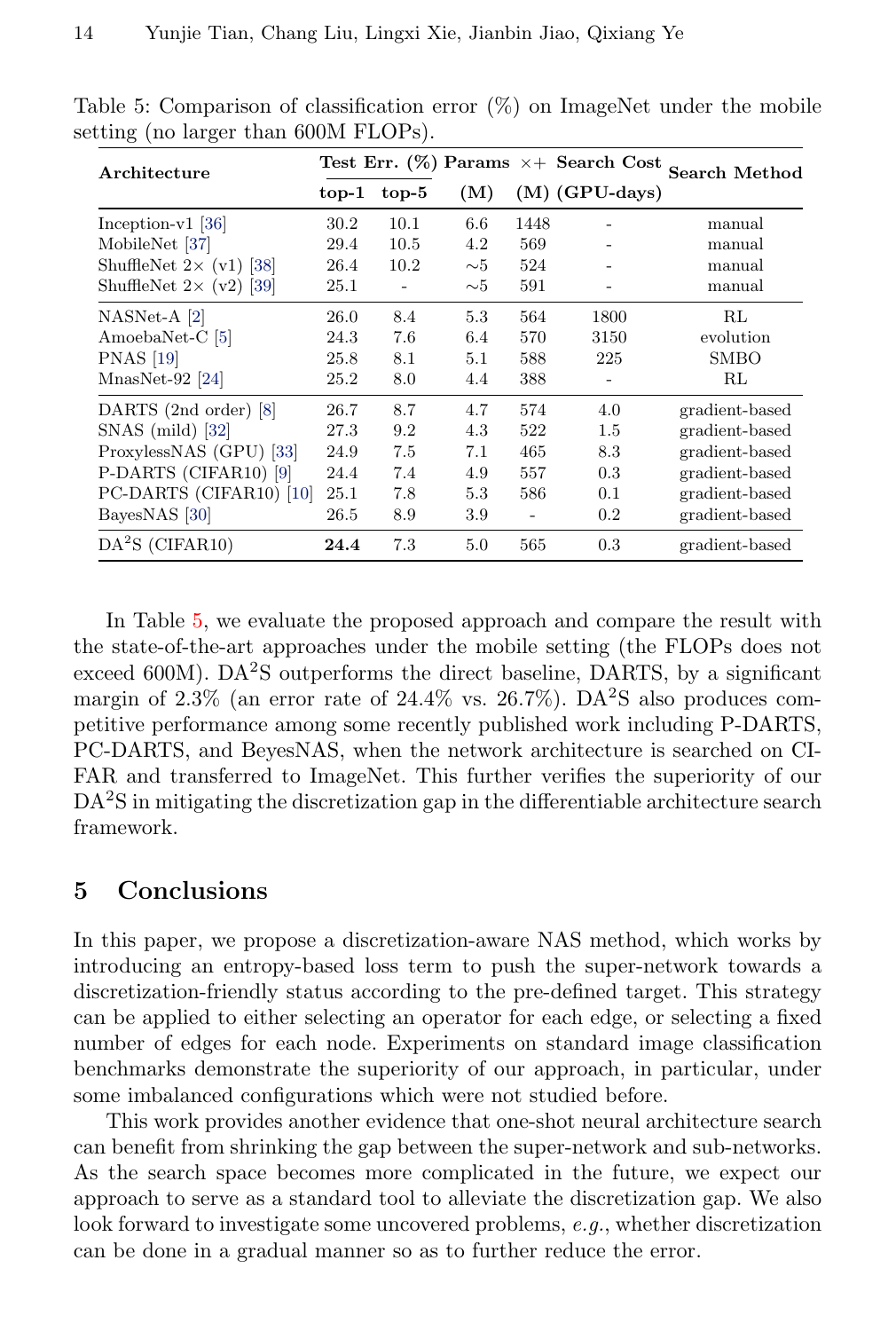| Architecture                    | Test Err. (%) Params $\times +$ Search Cost Search Method |         |             |      |                   |                |
|---------------------------------|-----------------------------------------------------------|---------|-------------|------|-------------------|----------------|
|                                 | $top-1$                                                   | $top-5$ | (M)         |      | $(M)$ (GPU-days)  |                |
| Inception- $v1$ [36]            | 30.2                                                      | 10.1    | 6.6         | 1448 |                   | manual         |
| MobileNet [37]                  | 29.4                                                      | 10.5    | 4.2         | 569  |                   | manual         |
| ShuffleNet $2 \times (v1)$ [38] | 26.4                                                      | 10.2    | $\sim\!\!5$ | 524  |                   | manual         |
| ShuffleNet $2 \times (v2)$ [39] | 25.1                                                      |         | $\sim\!\!5$ | 591  |                   | manual         |
| $NASNet-A [2]$                  | 26.0                                                      | 8.4     | 5.3         | 564  | 1800              | RL             |
| AmoebaNet-C [5]                 | 24.3                                                      | 7.6     | 6.4         | 570  | 3150              | evolution      |
| <b>PNAS</b> [19]                | 25.8                                                      | 8.1     | 5.1         | 588  | 225               | <b>SMBO</b>    |
| $MnasNet-92 [24]$               | 25.2                                                      | 8.0     | 4.4         | 388  | $\qquad \qquad -$ | RL             |
| DARTS (2nd order) [8]           | 26.7                                                      | 8.7     | 4.7         | 574  | 4.0               | gradient-based |
| $SNAS$ (mild) [32]              | 27.3                                                      | 9.2     | 4.3         | 522  | 1.5               | gradient-based |
| ProxylessNAS (GPU) [33]         | 24.9                                                      | 7.5     | 7.1         | 465  | 8.3               | gradient-based |
| P-DARTS (CIFAR10) [9]           | 24.4                                                      | 7.4     | 4.9         | 557  | 0.3               | gradient-based |
| PC-DARTS (CIFAR10) [10]         | 25.1                                                      | 7.8     | 5.3         | 586  | 0.1               | gradient-based |
| BayesNAS [30]                   | 26.5                                                      | 8.9     | 3.9         |      | 0.2               | gradient-based |
| $DA2S$ (CIFAR10)                | 24.4                                                      | 7.3     | 5.0         | 565  | 0.3               | gradient-based |

<span id="page-13-0"></span>Table 5: Comparison of classification error  $(\%)$  on ImageNet under the mobile setting (no larger than 600M FLOPs).

In Table [5,](#page-13-0) we evaluate the proposed approach and compare the result with the state-of-the-art approaches under the mobile setting (the FLOPs does not exceed  $600M$ ). DA<sup>2</sup>S outperforms the direct baseline, DARTS, by a significant margin of  $2.3\%$  (an error rate of  $24.4\%$  vs.  $26.7\%$ ). DA<sup>2</sup>S also produces competitive performance among some recently published work including P-DARTS, PC-DARTS, and BeyesNAS, when the network architecture is searched on CI-FAR and transferred to ImageNet. This further verifies the superiority of our DA<sup>2</sup>S in mitigating the discretization gap in the differentiable architecture search framework.

# 5 Conclusions

In this paper, we propose a discretization-aware NAS method, which works by introducing an entropy-based loss term to push the super-network towards a discretization-friendly status according to the pre-defined target. This strategy can be applied to either selecting an operator for each edge, or selecting a fixed number of edges for each node. Experiments on standard image classification benchmarks demonstrate the superiority of our approach, in particular, under some imbalanced configurations which were not studied before.

This work provides another evidence that one-shot neural architecture search can benefit from shrinking the gap between the super-network and sub-networks. As the search space becomes more complicated in the future, we expect our approach to serve as a standard tool to alleviate the discretization gap. We also look forward to investigate some uncovered problems, e.g., whether discretization can be done in a gradual manner so as to further reduce the error.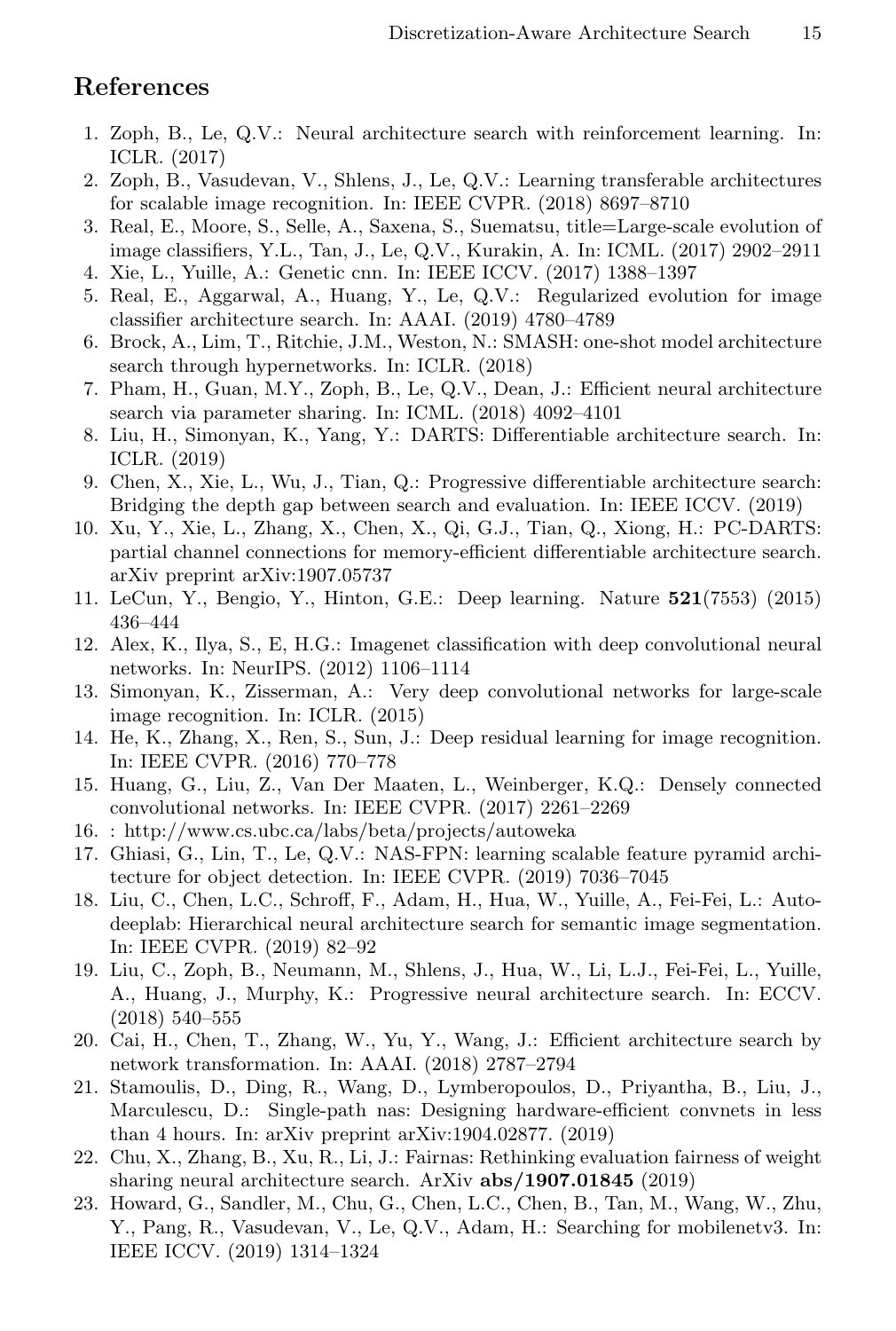# References

- <span id="page-14-0"></span>1. Zoph, B., Le, Q.V.: Neural architecture search with reinforcement learning. In: ICLR. (2017)
- <span id="page-14-1"></span>2. Zoph, B., Vasudevan, V., Shlens, J., Le, Q.V.: Learning transferable architectures for scalable image recognition. In: IEEE CVPR. (2018) 8697–8710
- <span id="page-14-2"></span>3. Real, E., Moore, S., Selle, A., Saxena, S., Suematsu, title=Large-scale evolution of image classifiers, Y.L., Tan, J., Le, Q.V., Kurakin, A. In: ICML. (2017) 2902–2911
- <span id="page-14-3"></span>4. Xie, L., Yuille, A.: Genetic cnn. In: IEEE ICCV. (2017) 1388–1397
- <span id="page-14-4"></span>5. Real, E., Aggarwal, A., Huang, Y., Le, Q.V.: Regularized evolution for image classifier architecture search. In: AAAI. (2019) 4780–4789
- <span id="page-14-5"></span>6. Brock, A., Lim, T., Ritchie, J.M., Weston, N.: SMASH: one-shot model architecture search through hypernetworks. In: ICLR. (2018)
- <span id="page-14-6"></span>7. Pham, H., Guan, M.Y., Zoph, B., Le, Q.V., Dean, J.: Efficient neural architecture search via parameter sharing. In: ICML. (2018) 4092–4101
- <span id="page-14-7"></span>8. Liu, H., Simonyan, K., Yang, Y.: DARTS: Differentiable architecture search. In: ICLR. (2019)
- <span id="page-14-8"></span>9. Chen, X., Xie, L., Wu, J., Tian, Q.: Progressive differentiable architecture search: Bridging the depth gap between search and evaluation. In: IEEE ICCV. (2019)
- <span id="page-14-9"></span>10. Xu, Y., Xie, L., Zhang, X., Chen, X., Qi, G.J., Tian, Q., Xiong, H.: PC-DARTS: partial channel connections for memory-efficient differentiable architecture search. arXiv preprint arXiv:1907.05737
- <span id="page-14-10"></span>11. LeCun, Y., Bengio, Y., Hinton, G.E.: Deep learning. Nature 521(7553) (2015) 436–444
- <span id="page-14-11"></span>12. Alex, K., Ilya, S., E, H.G.: Imagenet classification with deep convolutional neural networks. In: NeurIPS. (2012) 1106–1114
- <span id="page-14-12"></span>13. Simonyan, K., Zisserman, A.: Very deep convolutional networks for large-scale image recognition. In: ICLR. (2015)
- <span id="page-14-13"></span>14. He, K., Zhang, X., Ren, S., Sun, J.: Deep residual learning for image recognition. In: IEEE CVPR. (2016) 770–778
- <span id="page-14-14"></span>15. Huang, G., Liu, Z., Van Der Maaten, L., Weinberger, K.Q.: Densely connected convolutional networks. In: IEEE CVPR. (2017) 2261–2269
- <span id="page-14-15"></span>16. : http://www.cs.ubc.ca/labs/beta/projects/autoweka
- <span id="page-14-16"></span>17. Ghiasi, G., Lin, T., Le, Q.V.: NAS-FPN: learning scalable feature pyramid architecture for object detection. In: IEEE CVPR. (2019) 7036–7045
- <span id="page-14-17"></span>18. Liu, C., Chen, L.C., Schroff, F., Adam, H., Hua, W., Yuille, A., Fei-Fei, L.: Autodeeplab: Hierarchical neural architecture search for semantic image segmentation. In: IEEE CVPR. (2019) 82–92
- <span id="page-14-18"></span>19. Liu, C., Zoph, B., Neumann, M., Shlens, J., Hua, W., Li, L.J., Fei-Fei, L., Yuille, A., Huang, J., Murphy, K.: Progressive neural architecture search. In: ECCV. (2018) 540–555
- <span id="page-14-19"></span>20. Cai, H., Chen, T., Zhang, W., Yu, Y., Wang, J.: Efficient architecture search by network transformation. In: AAAI. (2018) 2787–2794
- <span id="page-14-20"></span>21. Stamoulis, D., Ding, R., Wang, D., Lymberopoulos, D., Priyantha, B., Liu, J., Marculescu, D.: Single-path nas: Designing hardware-efficient convnets in less than 4 hours. In: arXiv preprint arXiv:1904.02877. (2019)
- <span id="page-14-21"></span>22. Chu, X., Zhang, B., Xu, R., Li, J.: Fairnas: Rethinking evaluation fairness of weight sharing neural architecture search. ArXiv  $abs/1907.01845$  (2019)
- <span id="page-14-22"></span>23. Howard, G., Sandler, M., Chu, G., Chen, L.C., Chen, B., Tan, M., Wang, W., Zhu, Y., Pang, R., Vasudevan, V., Le, Q.V., Adam, H.: Searching for mobilenetv3. In: IEEE ICCV. (2019) 1314–1324